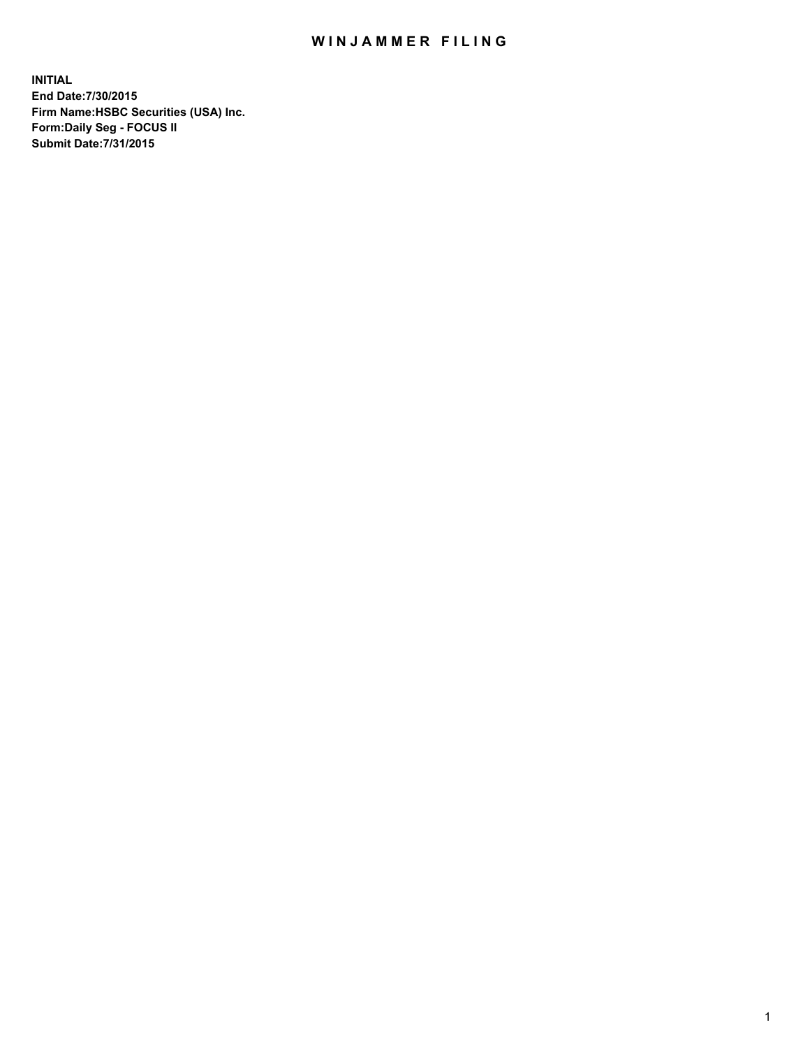## WIN JAMMER FILING

**INITIAL End Date:7/30/2015 Firm Name:HSBC Securities (USA) Inc. Form:Daily Seg - FOCUS II Submit Date:7/31/2015**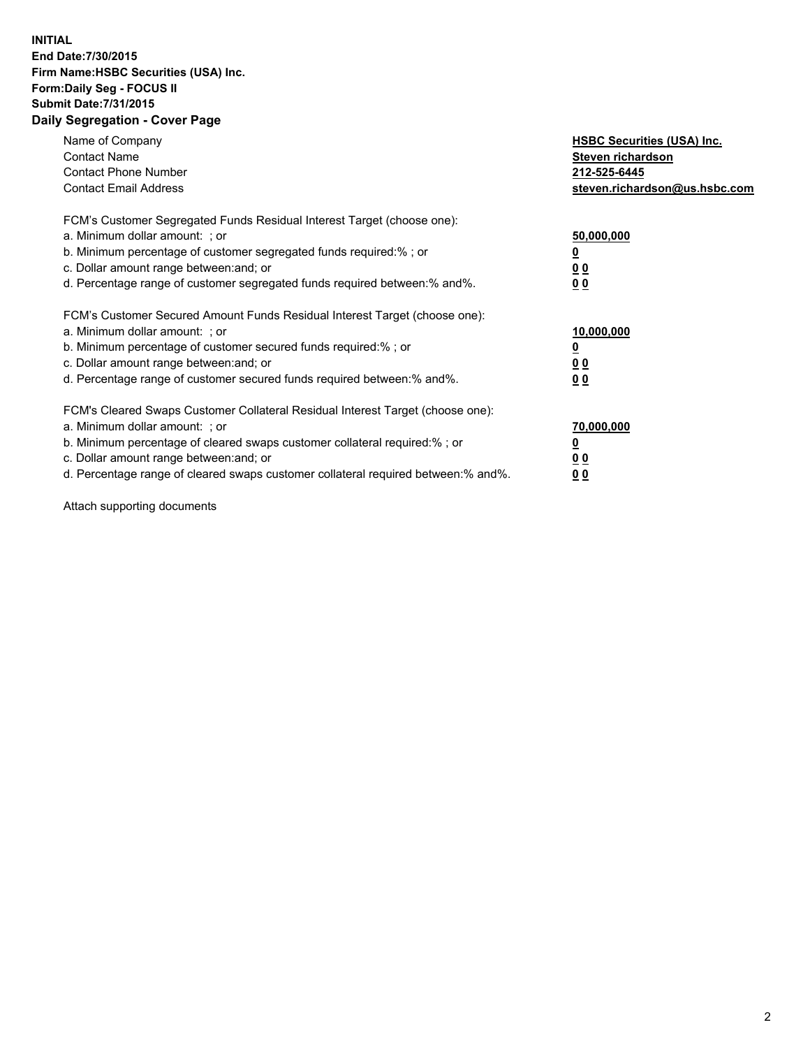## **INITIAL End Date:7/30/2015 Firm Name:HSBC Securities (USA) Inc. Form:Daily Seg - FOCUS II Submit Date:7/31/2015 Daily Segregation - Cover Page**

| Name of Company<br><b>Contact Name</b><br><b>Contact Phone Number</b><br><b>Contact Email Address</b>                                                                                                                                                                                                                         | <b>HSBC Securities (USA) Inc.</b><br>Steven richardson<br>212-525-6445<br>steven.richardson@us.hsbc.com |
|-------------------------------------------------------------------------------------------------------------------------------------------------------------------------------------------------------------------------------------------------------------------------------------------------------------------------------|---------------------------------------------------------------------------------------------------------|
| FCM's Customer Segregated Funds Residual Interest Target (choose one):<br>a. Minimum dollar amount: ; or<br>b. Minimum percentage of customer segregated funds required:% ; or<br>c. Dollar amount range between: and; or<br>d. Percentage range of customer segregated funds required between: % and %.                      | 50,000,000<br>0 <sub>0</sub><br>0 <sub>0</sub>                                                          |
| FCM's Customer Secured Amount Funds Residual Interest Target (choose one):<br>a. Minimum dollar amount: ; or<br>b. Minimum percentage of customer secured funds required:%; or<br>c. Dollar amount range between: and; or<br>d. Percentage range of customer secured funds required between:% and%.                           | 10,000,000<br>0 <sub>0</sub><br>00                                                                      |
| FCM's Cleared Swaps Customer Collateral Residual Interest Target (choose one):<br>a. Minimum dollar amount: ; or<br>b. Minimum percentage of cleared swaps customer collateral required:%; or<br>c. Dollar amount range between: and; or<br>d. Percentage range of cleared swaps customer collateral required between:% and%. | 70,000,000<br>0 <sub>0</sub><br>00                                                                      |

Attach supporting documents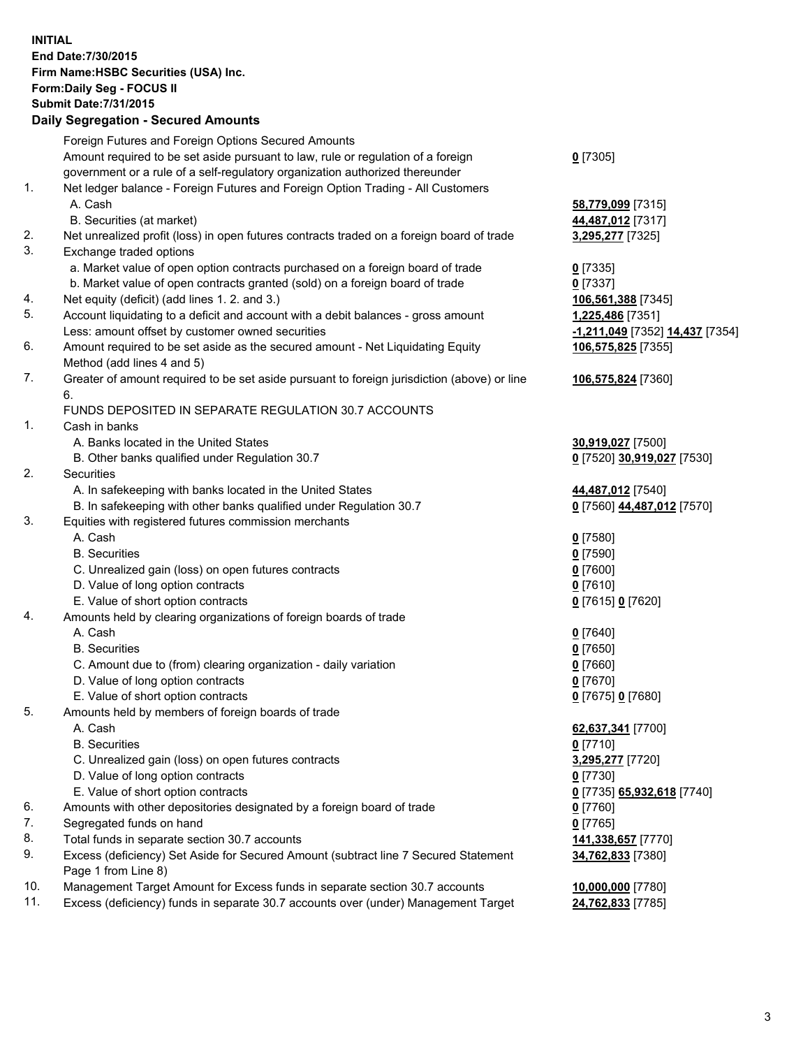**INITIAL End Date:7/30/2015 Firm Name:HSBC Securities (USA) Inc. Form:Daily Seg - FOCUS II Submit Date:7/31/2015 Daily Segregation - Secured Amounts**

Foreign Futures and Foreign Options Secured Amounts Amount required to be set aside pursuant to law, rule or regulation of a foreign government or a rule of a self-regulatory organization authorized thereunder **0** [7305] 1. Net ledger balance - Foreign Futures and Foreign Option Trading - All Customers A. Cash **58,779,099** [7315] B. Securities (at market) **44,487,012** [7317] 2. Net unrealized profit (loss) in open futures contracts traded on a foreign board of trade **3,295,277** [7325] 3. Exchange traded options a. Market value of open option contracts purchased on a foreign board of trade **0** [7335] b. Market value of open contracts granted (sold) on a foreign board of trade **0** [7337] 4. Net equity (deficit) (add lines 1. 2. and 3.) **106,561,388** [7345] 5. Account liquidating to a deficit and account with a debit balances - gross amount **1,225,486** [7351] Less: amount offset by customer owned securities **-1,211,049** [7352] **14,437** [7354] 6. Amount required to be set aside as the secured amount - Net Liquidating Equity Method (add lines 4 and 5) **106,575,825** [7355] 7. Greater of amount required to be set aside pursuant to foreign jurisdiction (above) or line 6. **106,575,824** [7360] FUNDS DEPOSITED IN SEPARATE REGULATION 30.7 ACCOUNTS 1. Cash in banks A. Banks located in the United States **30,919,027** [7500] B. Other banks qualified under Regulation 30.7 **0** [7520] **30,919,027** [7530] 2. Securities A. In safekeeping with banks located in the United States **44,487,012** [7540] B. In safekeeping with other banks qualified under Regulation 30.7 **0** [7560] **44,487,012** [7570] 3. Equities with registered futures commission merchants A. Cash **0** [7580] B. Securities **0** [7590] C. Unrealized gain (loss) on open futures contracts **0** [7600] D. Value of long option contracts **0** [7610] E. Value of short option contracts **0** [7615] **0** [7620] 4. Amounts held by clearing organizations of foreign boards of trade A. Cash **0** [7640] B. Securities **0** [7650] C. Amount due to (from) clearing organization - daily variation **0** [7660] D. Value of long option contracts **0** [7670] E. Value of short option contracts **0** [7675] **0** [7680] 5. Amounts held by members of foreign boards of trade A. Cash **62,637,341** [7700] B. Securities **0** [7710] C. Unrealized gain (loss) on open futures contracts **3,295,277** [7720] D. Value of long option contracts **0** [7730] E. Value of short option contracts **0** [7735] **65,932,618** [7740] 6. Amounts with other depositories designated by a foreign board of trade **0** [7760] 7. Segregated funds on hand **0** [7765] 8. Total funds in separate section 30.7 accounts **141,338,657** [7770] 9. Excess (deficiency) Set Aside for Secured Amount (subtract line 7 Secured Statement Page 1 from Line 8) **34,762,833** [7380] 10. Management Target Amount for Excess funds in separate section 30.7 accounts **10,000,000** [7780] 11. Excess (deficiency) funds in separate 30.7 accounts over (under) Management Target **24,762,833** [7785]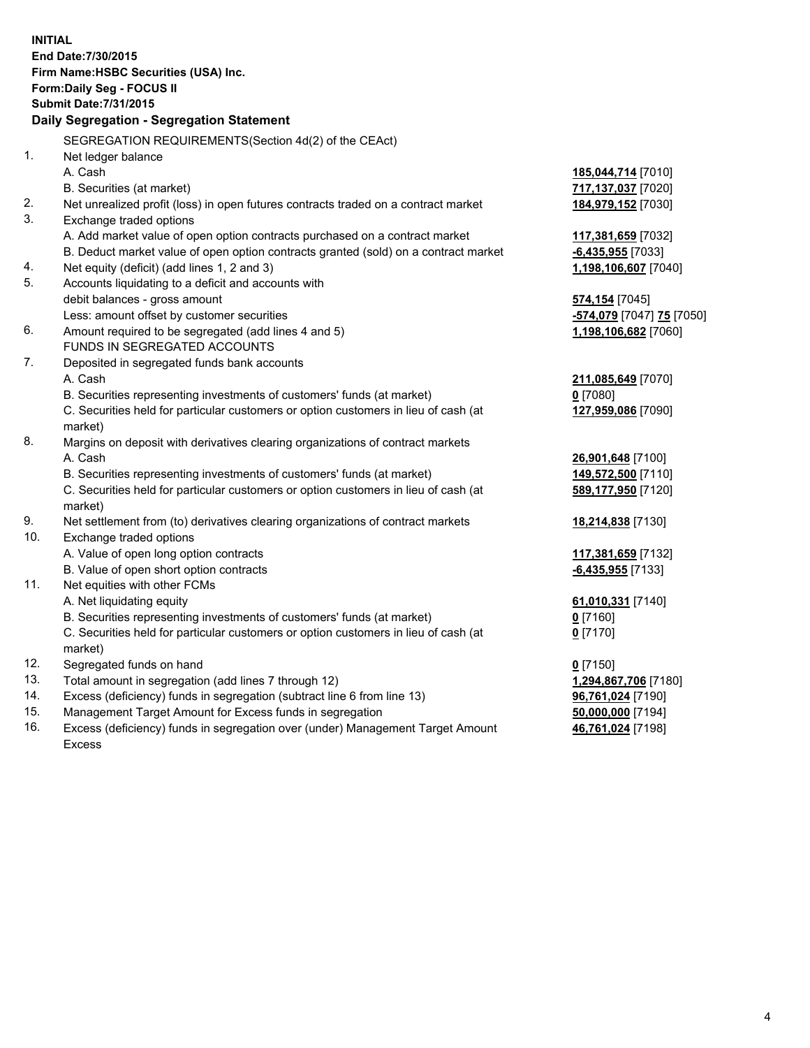|     | <b>INITIAL</b><br>End Date: 7/30/2015<br>Firm Name: HSBC Securities (USA) Inc.<br>Form: Daily Seg - FOCUS II<br><b>Submit Date: 7/31/2015</b><br>Daily Segregation - Segregation Statement |                           |
|-----|--------------------------------------------------------------------------------------------------------------------------------------------------------------------------------------------|---------------------------|
|     | SEGREGATION REQUIREMENTS(Section 4d(2) of the CEAct)                                                                                                                                       |                           |
| 1.  | Net ledger balance                                                                                                                                                                         |                           |
|     | A. Cash                                                                                                                                                                                    | 185,044,714 [7010]        |
|     | B. Securities (at market)                                                                                                                                                                  | 717,137,037 [7020]        |
| 2.  | Net unrealized profit (loss) in open futures contracts traded on a contract market                                                                                                         | 184,979,152 [7030]        |
| 3.  | Exchange traded options                                                                                                                                                                    |                           |
|     | A. Add market value of open option contracts purchased on a contract market                                                                                                                | <u>117,381,659</u> [7032] |
|     | B. Deduct market value of open option contracts granted (sold) on a contract market                                                                                                        | $-6,435,955$ [7033]       |
| 4.  | Net equity (deficit) (add lines 1, 2 and 3)                                                                                                                                                | 1,198,106,607 [7040]      |
| 5.  | Accounts liquidating to a deficit and accounts with                                                                                                                                        |                           |
|     | debit balances - gross amount                                                                                                                                                              | 574,154 [7045]            |
|     | Less: amount offset by customer securities                                                                                                                                                 | -574,079 [7047] 75 [7050] |
| 6.  | Amount required to be segregated (add lines 4 and 5)                                                                                                                                       | 1,198,106,682 [7060]      |
|     | FUNDS IN SEGREGATED ACCOUNTS                                                                                                                                                               |                           |
| 7.  | Deposited in segregated funds bank accounts                                                                                                                                                |                           |
|     | A. Cash                                                                                                                                                                                    | 211,085,649 [7070]        |
|     | B. Securities representing investments of customers' funds (at market)                                                                                                                     | $0$ [7080]                |
|     | C. Securities held for particular customers or option customers in lieu of cash (at                                                                                                        | 127,959,086 [7090]        |
|     | market)                                                                                                                                                                                    |                           |
| 8.  | Margins on deposit with derivatives clearing organizations of contract markets                                                                                                             |                           |
|     | A. Cash                                                                                                                                                                                    | 26,901,648 [7100]         |
|     | B. Securities representing investments of customers' funds (at market)                                                                                                                     | 149,572,500 [7110]        |
|     | C. Securities held for particular customers or option customers in lieu of cash (at<br>market)                                                                                             | 589,177,950 [7120]        |
| 9.  | Net settlement from (to) derivatives clearing organizations of contract markets                                                                                                            | 18,214,838 [7130]         |
| 10. | Exchange traded options                                                                                                                                                                    |                           |
|     | A. Value of open long option contracts                                                                                                                                                     | 117,381,659 [7132]        |
|     | B. Value of open short option contracts                                                                                                                                                    | -6,435,955 [7133]         |
| 11. | Net equities with other FCMs                                                                                                                                                               |                           |
|     | A. Net liquidating equity                                                                                                                                                                  | 61,010,331 [7140]         |
|     | B. Securities representing investments of customers' funds (at market)                                                                                                                     | 0 [7160]                  |
|     | C. Securities held for particular customers or option customers in lieu of cash (at<br>market)                                                                                             | $0$ [7170]                |
| 12. | Segregated funds on hand                                                                                                                                                                   | $0$ [7150]                |
| 13. | Total amount in segregation (add lines 7 through 12)                                                                                                                                       | 1,294,867,706 [7180]      |
| 14. | Excess (deficiency) funds in segregation (subtract line 6 from line 13)                                                                                                                    | 96,761,024 [7190]         |
| 15. | Management Target Amount for Excess funds in segregation                                                                                                                                   | 50,000,000 [7194]         |
| 16. | Excess (deficiency) funds in segregation over (under) Management Target Amount                                                                                                             | 46,761,024 [7198]         |

Excess